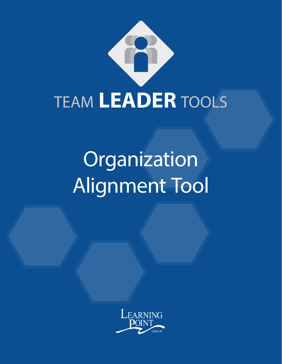

# Organization Alignment Tool

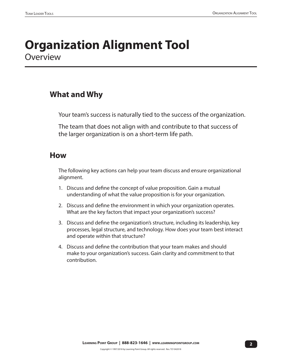#### **Organization Alignment Tool Overview**

#### **What and Why**

Your team's success is naturally tied to the success of the organization.

The team that does not align with and contribute to that success of the larger organization is on a short-term life path.

#### **How**

The following key actions can help your team discuss and ensure organizational alignment.

- 1. Discuss and define the concept of value proposition. Gain a mutual understanding of what the value proposition is for your organization.
- 2. Discuss and define the environment in which your organization operates. What are the key factors that impact your organization's success?
- 3. Discuss and define the organization's structure, including its leadership, key processes, legal structure, and technology. How does your team best interact and operate within that structure?
- 4. Discuss and define the contribution that your team makes and should make to your organization's success. Gain clarity and commitment to that contribution.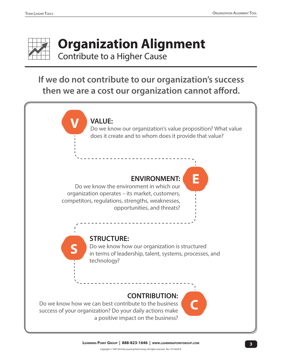

# **Organization Alignment**

Contribute to a Higher Cause

#### **If we do not contribute to our organization's success then we are a cost our organization cannot afford.**

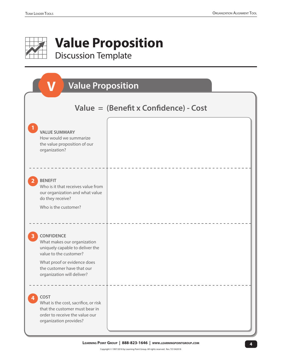

| <b>Value Proposition</b>                                                                                                                                                                                 |  |  |
|----------------------------------------------------------------------------------------------------------------------------------------------------------------------------------------------------------|--|--|
| Value = $(Benefit x Confidence) - Cost$                                                                                                                                                                  |  |  |
| <b>VALUE SUMMARY</b><br>How would we summarize<br>the value proposition of our<br>organization?                                                                                                          |  |  |
| <b>BENEFIT</b><br>Who is it that receives value from<br>our organization and what value<br>do they receive?<br>Who is the customer?                                                                      |  |  |
| <b>CONFIDENCE</b><br>What makes our organization<br>uniquely capable to deliver the<br>value to the customer?<br>What proof or evidence does<br>the customer have that our<br>organization will deliver? |  |  |
| COST<br>4<br>What is the cost, sacrifice, or risk<br>that the customer must bear in<br>order to receive the value our<br>organization provides?                                                          |  |  |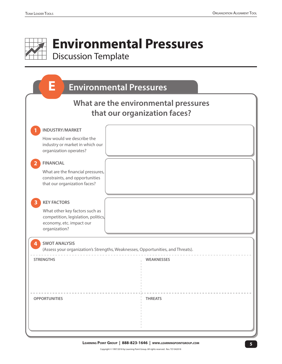# **Environmental Pressures** Discussion Template

| E<br><b>Environmental Pressures</b>                                                                                |                |  |
|--------------------------------------------------------------------------------------------------------------------|----------------|--|
| What are the environmental pressures<br>that our organization faces?                                               |                |  |
| <b>INDUSTRY/MARKET</b>                                                                                             |                |  |
| How would we describe the<br>industry or market in which our<br>organization operates?                             |                |  |
| <b>FINANCIAL</b>                                                                                                   |                |  |
| What are the financial pressures,<br>constraints, and opportunities<br>that our organization faces?                |                |  |
| <b>KEY FACTORS</b>                                                                                                 |                |  |
| What other key factors such as<br>competition, legislation, politics,<br>economy, etc. impact our<br>organization? |                |  |
| <b>SWOT ANALYSIS</b><br>(Assess your organization's Strengths, Weaknesses, Opportunities, and Threats).            |                |  |
| <b>STRENGTHS</b>                                                                                                   | WEAKNESSES     |  |
| <b>OPPORTUNITIES</b>                                                                                               | <b>THREATS</b> |  |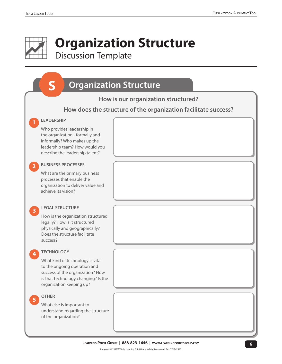## **Organization Structure** Discussion Template

#### **How is our organization structured? How does the structure of the organization facilitate success? Organization Structure LEADERSHIP** Who provides leadership in the organization - formally and informally? Who makes up the leadership team? How would you describe the leadership talent? **1 BUSINESS PROCESSES** What are the primary business processes that enable the organization to deliver value and achieve its vision? **2 LEGAL STRUCTURE** How is the organization structured legally? How is it structured physically and geographically? Does the structure facilitate success? **3 TECHNOLOGY** What kind of technology is vital to the ongoing operation and success of the organization? How is that technology changing? Is the organization keeping up? **4 OTHER** What else is important to understand regarding the structure of the organization? **5**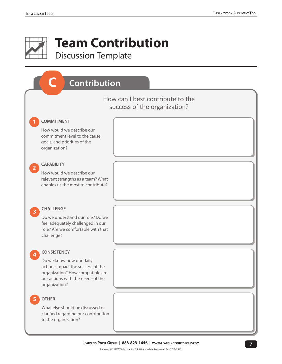